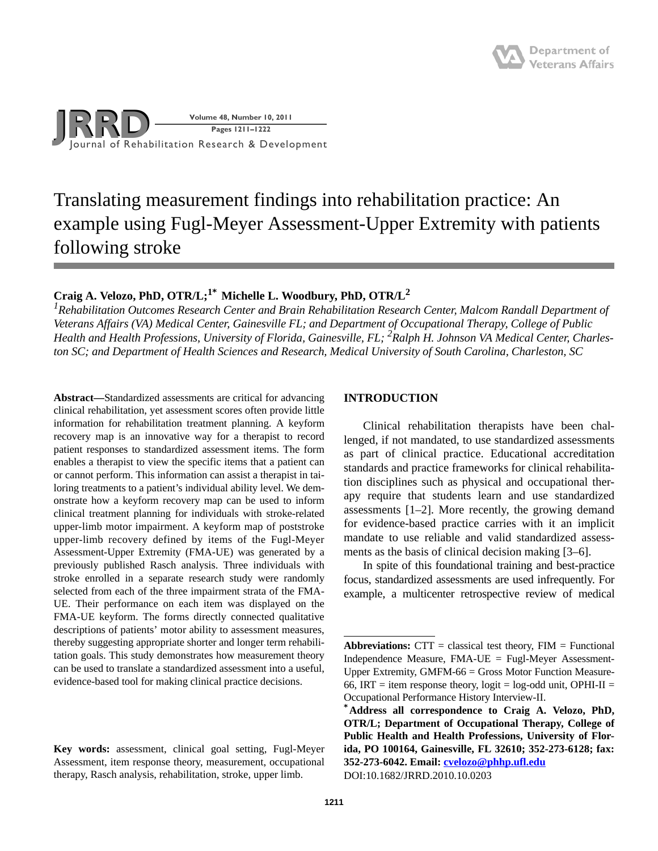

# Translating measurement findings into rehabilitation practice: An example using Fugl-Meyer Assessment-Upper Extremity with patients following stroke

## **Craig A. Velozo, PhD, OTR/L;1\* Michelle L. Woodbury, PhD, OTR/L2**

<sup>1</sup> Rehabilitation Outcomes Research Center and Brain Rehabilitation Research Center, Malcom Randall Department of *Veterans Affairs (VA) Medical Center, Gainesville FL; and Department of Occupational Therapy, College of Public Health and Health Professions, University of Florida, Gainesville, FL; 2 Ralph H. Johnson VA Medical Center, Charleston SC; and Department of Health Sciences and Research, Medical University of South Carolina, Charleston, SC*

**Abstract—**Standardized assessments are critical for advancing clinical rehabilitation, yet assessment scores often provide little information for rehabilitation treatment planning. A keyform recovery map is an innovative way for a therapist to record patient responses to standardized assessment items. The form enables a therapist to view the specific items that a patient can or cannot perform. This information can assist a therapist in tailoring treatments to a patient's individual ability level. We demonstrate how a keyform recovery map can be used to inform clinical treatment planning for individuals with stroke-related upper-limb motor impairment. A keyform map of poststroke upper-limb recovery defined by items of the Fugl-Meyer Assessment-Upper Extremity (FMA-UE) was generated by a previously published Rasch analysis. Three individuals with stroke enrolled in a separate research study were randomly selected from each of the three impairment strata of the FMA-UE. Their performance on each item was displayed on the FMA-UE keyform. The forms directly connected qualitative descriptions of patients' motor ability to assessment measures, thereby suggesting appropriate shorter and longer term rehabilitation goals. This study demonstrates how measurement theory can be used to translate a standardized assessment into a useful, evidence-based tool for making clinical practice decisions.

### **INTRODUCTION**

Clinical rehabilitation therapists have been challenged, if not mandated, to use standardized assessments as part of clinical practice. Educational accreditation standards and practice frameworks for clinical rehabilitation disciplines such as physical and occupational therapy require that students learn and use standardized assessments [1–2]. More recently, the growing demand for evidence-based practice carries with it an implicit mandate to use reliable and valid standardized assessments as the basis of clinical decision making [3–6].

In spite of this foundational training and best-practice focus, standardized assessments are used infrequently. For example, a multicenter retrospective review of medical

**Key words:** assessment, clinical goal setting, Fugl-Meyer Assessment, item response theory, measurement, occupational therapy, Rasch analysis, rehabilitation, stroke, upper limb.

**Abbreviations:**  $CTT =$  classical test theory,  $FIM =$  Functional Independence Measure, FMA-UE = Fugl-Meyer Assessment-Upper Extremity, GMFM-66 = Gross Motor Function Measure-66, IRT = item response theory,  $logit = log-odd$  unit, OPHI-II = Occupational Performance History Interview-II.

**<sup>\*</sup>Address all correspondence to Craig A. Velozo, PhD, OTR/L; Department of Occupational Therapy, College of Public Health and Health Professions, University of Florida, PO 100164, Gainesville, FL 32610; 352-273-6128; fax: 352-273-6042. Email: [cvelozo@phhp.ufl.edu](mailto:cvelozo@phhp.ufl.edu)** DOI:10.1682/JRRD.2010.10.0203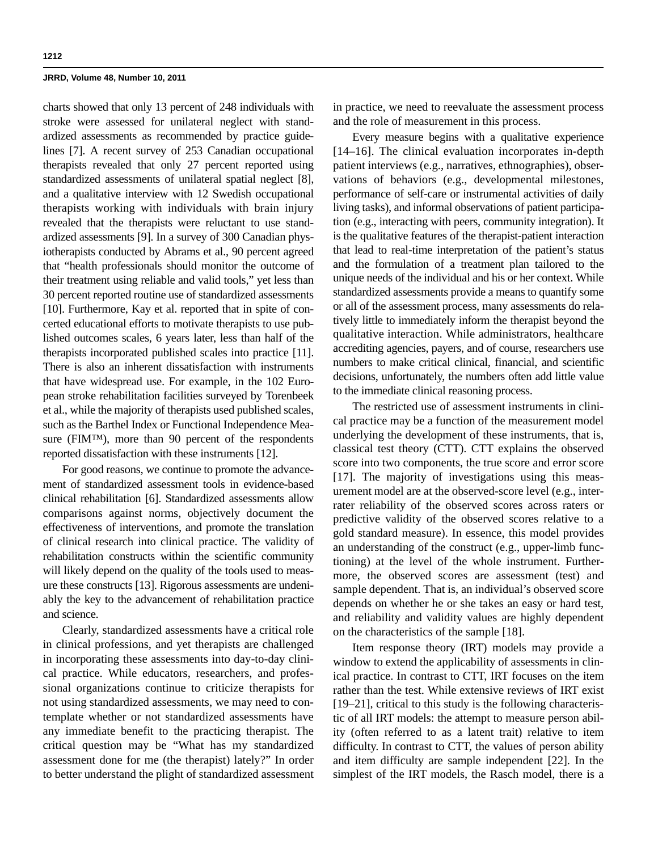charts showed that only 13 percent of 248 individuals with stroke were assessed for unilateral neglect with standardized assessments as recommended by practice guidelines [7]. A recent survey of 253 Canadian occupational therapists revealed that only 27 percent reported using standardized assessments of unilateral spatial neglect [8], and a qualitative interview with 12 Swedish occupational therapists working with individuals with brain injury revealed that the therapists were reluctant to use standardized assessments [9]. In a survey of 300 Canadian physiotherapists conducted by Abrams et al., 90 percent agreed that "health professionals should monitor the outcome of their treatment using reliable and valid tools," yet less than 30 percent reported routine use of standardized assessments [10]. Furthermore, Kay et al. reported that in spite of concerted educational efforts to motivate therapists to use published outcomes scales, 6 years later, less than half of the therapists incorporated published scales into practice [11]. There is also an inherent dissatisfaction with instruments that have widespread use. For example, in the 102 European stroke rehabilitation facilities surveyed by Torenbeek et al., while the majority of therapists used published scales, such as the Barthel Index or Functional Independence Measure (FIM<sup>™</sup>), more than 90 percent of the respondents reported dissatisfaction with these instruments [12].

For good reasons, we continue to promote the advancement of standardized assessment tools in evidence-based clinical rehabilitation [6]. Standardized assessments allow comparisons against norms, objectively document the effectiveness of interventions, and promote the translation of clinical research into clinical practice. The validity of rehabilitation constructs within the scientific community will likely depend on the quality of the tools used to measure these constructs [13]. Rigorous assessments are undeniably the key to the advancement of rehabilitation practice and science.

Clearly, standardized assessments have a critical role in clinical professions, and yet therapists are challenged in incorporating these assessments into day-to-day clinical practice. While educators, researchers, and professional organizations continue to criticize therapists for not using standardized assessments, we may need to contemplate whether or not standardized assessments have any immediate benefit to the practicing therapist. The critical question may be "What has my standardized assessment done for me (the therapist) lately?" In order to better understand the plight of standardized assessment in practice, we need to reevaluate the assessment process and the role of measurement in this process.

Every measure begins with a qualitative experience [14–16]. The clinical evaluation incorporates in-depth patient interviews (e.g., narratives, ethnographies), observations of behaviors (e.g., developmental milestones, performance of self-care or instrumental activities of daily living tasks), and informal observations of patient participation (e.g., interacting with peers, community integration). It is the qualitative features of the therapist-patient interaction that lead to real-time interpretation of the patient's status and the formulation of a treatment plan tailored to the unique needs of the individual and his or her context. While standardized assessments provide a means to quantify some or all of the assessment process, many assessments do relatively little to immediately inform the therapist beyond the qualitative interaction. While administrators, healthcare accrediting agencies, payers, and of course, researchers use numbers to make critical clinical, financial, and scientific decisions, unfortunately, the numbers often add little value to the immediate clinical reasoning process.

The restricted use of assessment instruments in clinical practice may be a function of the measurement model underlying the development of these instruments, that is, classical test theory (CTT). CTT explains the observed score into two components, the true score and error score [17]. The majority of investigations using this measurement model are at the observed-score level (e.g., interrater reliability of the observed scores across raters or predictive validity of the observed scores relative to a gold standard measure). In essence, this model provides an understanding of the construct (e.g., upper-limb functioning) at the level of the whole instrument. Furthermore, the observed scores are assessment (test) and sample dependent. That is, an individual's observed score depends on whether he or she takes an easy or hard test, and reliability and validity values are highly dependent on the characteristics of the sample [18].

Item response theory (IRT) models may provide a window to extend the applicability of assessments in clinical practice. In contrast to CTT, IRT focuses on the item rather than the test. While extensive reviews of IRT exist [19–21], critical to this study is the following characteristic of all IRT models: the attempt to measure person ability (often referred to as a latent trait) relative to item difficulty. In contrast to CTT, the values of person ability and item difficulty are sample independent [22]. In the simplest of the IRT models, the Rasch model, there is a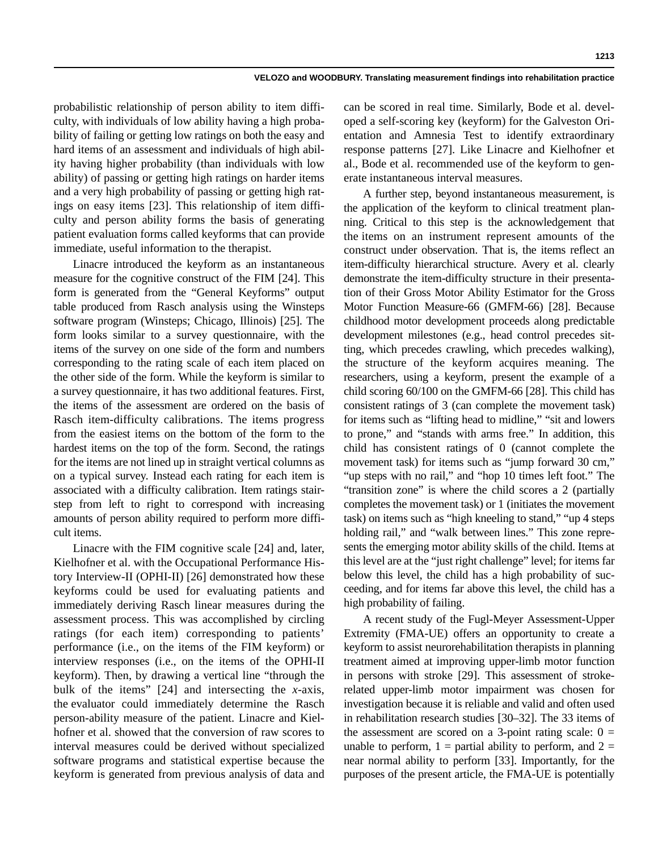probabilistic relationship of person ability to item difficulty, with individuals of low ability having a high probability of failing or getting low ratings on both the easy and hard items of an assessment and individuals of high ability having higher probability (than individuals with low ability) of passing or getting high ratings on harder items and a very high probability of passing or getting high ratings on easy items [23]. This relationship of item difficulty and person ability forms the basis of generating patient evaluation forms called keyforms that can provide immediate, useful information to the therapist.

Linacre introduced the keyform as an instantaneous measure for the cognitive construct of the FIM [24]. This form is generated from the "General Keyforms" output table produced from Rasch analysis using the Winsteps software program (Winsteps; Chicago, Illinois) [25]. The form looks similar to a survey questionnaire, with the items of the survey on one side of the form and numbers corresponding to the rating scale of each item placed on the other side of the form. While the keyform is similar to a survey questionnaire, it has two additional features. First, the items of the assessment are ordered on the basis of Rasch item-difficulty calibrations. The items progress from the easiest items on the bottom of the form to the hardest items on the top of the form. Second, the ratings for the items are not lined up in straight vertical columns as on a typical survey. Instead each rating for each item is associated with a difficulty calibration. Item ratings stairstep from left to right to correspond with increasing amounts of person ability required to perform more difficult items.

Linacre with the FIM cognitive scale [24] and, later, Kielhofner et al. with the Occupational Performance History Interview-II (OPHI-II) [26] demonstrated how these keyforms could be used for evaluating patients and immediately deriving Rasch linear measures during the assessment process. This was accomplished by circling ratings (for each item) corresponding to patients' performance (i.e., on the items of the FIM keyform) or interview responses (i.e., on the items of the OPHI-II keyform). Then, by drawing a vertical line "through the bulk of the items" [24] and intersecting the *x*-axis, the evaluator could immediately determine the Rasch person-ability measure of the patient. Linacre and Kielhofner et al. showed that the conversion of raw scores to interval measures could be derived without specialized software programs and statistical expertise because the keyform is generated from previous analysis of data and

can be scored in real time. Similarly, Bode et al. developed a self-scoring key (keyform) for the Galveston Orientation and Amnesia Test to identify extraordinary response patterns [27]. Like Linacre and Kielhofner et al., Bode et al. recommended use of the keyform to generate instantaneous interval measures.

**1213**

A further step, beyond instantaneous measurement, is the application of the keyform to clinical treatment planning. Critical to this step is the acknowledgement that the items on an instrument represent amounts of the construct under observation. That is, the items reflect an item-difficulty hierarchical structure. Avery et al. clearly demonstrate the item-difficulty structure in their presentation of their Gross Motor Ability Estimator for the Gross Motor Function Measure-66 (GMFM-66) [28]. Because childhood motor development proceeds along predictable development milestones (e.g., head control precedes sitting, which precedes crawling, which precedes walking), the structure of the keyform acquires meaning. The researchers, using a keyform, present the example of a child scoring 60/100 on the GMFM-66 [28]. This child has consistent ratings of 3 (can complete the movement task) for items such as "lifting head to midline," "sit and lowers to prone," and "stands with arms free." In addition, this child has consistent ratings of 0 (cannot complete the movement task) for items such as "jump forward 30 cm," "up steps with no rail," and "hop 10 times left foot." The "transition zone" is where the child scores a 2 (partially completes the movement task) or 1 (initiates the movement task) on items such as "high kneeling to stand," "up 4 steps holding rail," and "walk between lines." This zone represents the emerging motor ability skills of the child. Items at this level are at the "just right challenge" level; for items far below this level, the child has a high probability of succeeding, and for items far above this level, the child has a high probability of failing.

A recent study of the Fugl-Meyer Assessment-Upper Extremity (FMA-UE) offers an opportunity to create a keyform to assist neurorehabilitation therapists in planning treatment aimed at improving upper-limb motor function in persons with stroke [29]. This assessment of strokerelated upper-limb motor impairment was chosen for investigation because it is reliable and valid and often used in rehabilitation research studies [30–32]. The 33 items of the assessment are scored on a 3-point rating scale:  $0 =$ unable to perform,  $1 =$  partial ability to perform, and  $2 =$ near normal ability to perform [33]. Importantly, for the purposes of the present article, the FMA-UE is potentially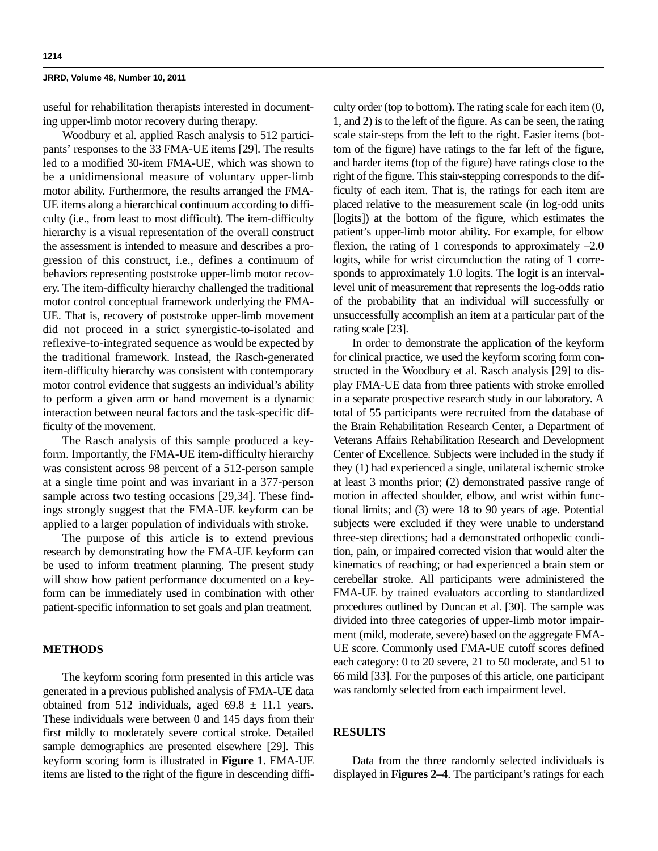useful for rehabilitation therapists interested in documenting upper-limb motor recovery during therapy.

Woodbury et al. applied Rasch analysis to 512 participants' responses to the 33 FMA-UE items [29]. The results led to a modified 30-item FMA-UE, which was shown to be a unidimensional measure of voluntary upper-limb motor ability. Furthermore, the results arranged the FMA-UE items along a hierarchical continuum according to difficulty (i.e., from least to most difficult). The item-difficulty hierarchy is a visual representation of the overall construct the assessment is intended to measure and describes a progression of this construct, i.e., defines a continuum of behaviors representing poststroke upper-limb motor recovery. The item-difficulty hierarchy challenged the traditional motor control conceptual framework underlying the FMA-UE. That is, recovery of poststroke upper-limb movement did not proceed in a strict synergistic-to-isolated and reflexive-to-integrated sequence as would be expected by the traditional framework. Instead, the Rasch-generated item-difficulty hierarchy was consistent with contemporary motor control evidence that suggests an individual's ability to perform a given arm or hand movement is a dynamic interaction between neural factors and the task-specific difficulty of the movement.

The Rasch analysis of this sample produced a keyform. Importantly, the FMA-UE item-difficulty hierarchy was consistent across 98 percent of a 512-person sample at a single time point and was invariant in a 377-person sample across two testing occasions [29,34]. These findings strongly suggest that the FMA-UE keyform can be applied to a larger population of individuals with stroke.

The purpose of this article is to extend previous research by demonstrating how the FMA-UE keyform can be used to inform treatment planning. The present study will show how patient performance documented on a keyform can be immediately used in combination with other patient-specific information to set goals and plan treatment.

### **METHODS**

The keyform scoring form presented in this article was generated in a previous published analysis of FMA-UE data obtained from 512 individuals, aged  $69.8 \pm 11.1$  years. These individuals were between 0 and 145 days from their first mildly to moderately severe cortical stroke. Detailed sample demographics are presented elsewhere [29]. This keyform scoring form is illustrated in **Figure 1**. FMA-UE items are listed to the right of the figure in descending difficulty order (top to bottom). The rating scale for each item (0, 1, and 2) is to the left of the figure. As can be seen, the rating scale stair-steps from the left to the right. Easier items (bottom of the figure) have ratings to the far left of the figure, and harder items (top of the figure) have ratings close to the right of the figure. This stair-stepping corresponds to the difficulty of each item. That is, the ratings for each item are placed relative to the measurement scale (in log-odd units [logits]) at the bottom of the figure, which estimates the patient's upper-limb motor ability. For example, for elbow flexion, the rating of 1 corresponds to approximately  $-2.0$ logits, while for wrist circumduction the rating of 1 corresponds to approximately 1.0 logits. The logit is an intervallevel unit of measurement that represents the log-odds ratio of the probability that an individual will successfully or unsuccessfully accomplish an item at a particular part of the rating scale [23].

In order to demonstrate the application of the keyform for clinical practice, we used the keyform scoring form constructed in the Woodbury et al. Rasch analysis [29] to display FMA-UE data from three patients with stroke enrolled in a separate prospective research study in our laboratory. A total of 55 participants were recruited from the database of the Brain Rehabilitation Research Center, a Department of Veterans Affairs Rehabilitation Research and Development Center of Excellence. Subjects were included in the study if they (1) had experienced a single, unilateral ischemic stroke at least 3 months prior; (2) demonstrated passive range of motion in affected shoulder, elbow, and wrist within functional limits; and (3) were 18 to 90 years of age. Potential subjects were excluded if they were unable to understand three-step directions; had a demonstrated orthopedic condition, pain, or impaired corrected vision that would alter the kinematics of reaching; or had experienced a brain stem or cerebellar stroke. All participants were administered the FMA-UE by trained evaluators according to standardized procedures outlined by Duncan et al. [30]. The sample was divided into three categories of upper-limb motor impairment (mild, moderate, severe) based on the aggregate FMA-UE score. Commonly used FMA-UE cutoff scores defined each category: 0 to 20 severe, 21 to 50 moderate, and 51 to 66 mild [33]. For the purposes of this article, one participant was randomly selected from each impairment level.

### **RESULTS**

Data from the three randomly selected individuals is displayed in **Figures 2–4**. The participant's ratings for each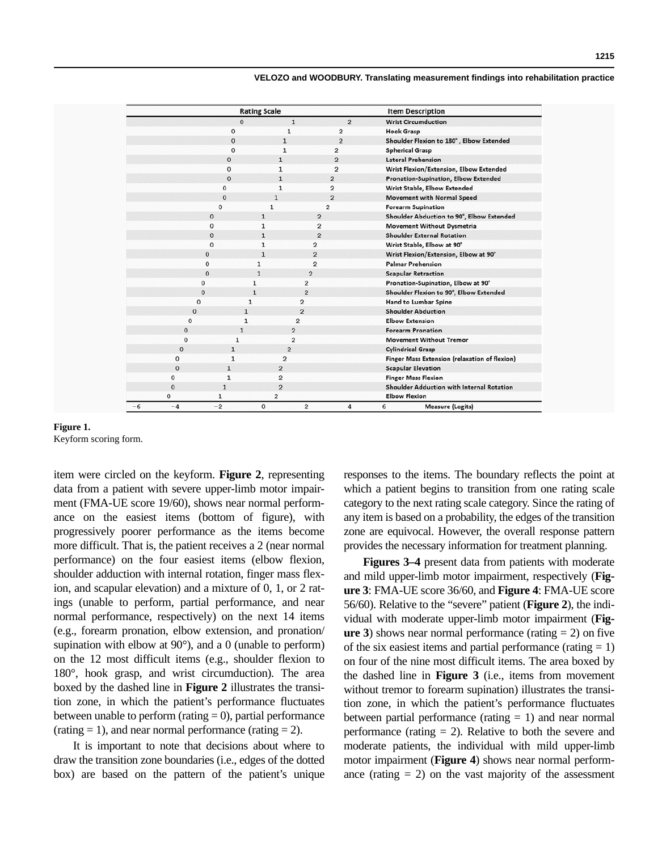#### **VELOZO and WOODBURY. Translating measurement findings into rehabilitation practice**

|              | <b>Rating Scale</b> |                         |                |                | <b>Item Description</b>                       |
|--------------|---------------------|-------------------------|----------------|----------------|-----------------------------------------------|
|              | $\mathbf{0}$        |                         | $\mathbf{1}$   | $\overline{2}$ | <b>Wrist Circumduction</b>                    |
|              | $\Omega$            | 1                       |                | $\overline{2}$ | <b>Hook Grasp</b>                             |
|              | $\mathbf 0$         | $\mathbf{1}$            |                | $\overline{2}$ | Shoulder Flexion to 180°, Elbow Extended      |
|              | $\Omega$            | 1                       |                | 2              | <b>Spherical Grasp</b>                        |
|              | $\mathbf{0}$        | $\mathbf{1}$            |                | $\overline{2}$ | <b>Lateral Prehension</b>                     |
|              | 0                   | $\mathbf{1}$            |                | $\overline{2}$ | Wrist Flexion/Extension, Elbow Extended       |
|              | $\mathbf{O}$        | $\mathbf{1}$            | $\overline{2}$ |                | Pronation-Supination, Elbow Extended          |
|              | $\mathbf 0$         | $\mathbf{1}$            | $\overline{2}$ |                | Wrist Stable, Elbow Extended                  |
|              | $\mathbf 0$         | $\mathbf{1}$            | $\overline{2}$ |                | Movement with Normal Speed                    |
|              | $\mathbf 0$         | 1                       | $\overline{2}$ |                | <b>Forearm Supination</b>                     |
|              | $\mathbf{O}$        | $\mathbf{1}$            | $\overline{2}$ |                | Shoulder Abduction to 90°, Elbow Extended     |
|              | 0                   | 1                       | $\overline{2}$ |                | <b>Movement Without Dysmetria</b>             |
|              | $\Omega$            | $\mathbf{1}$            | $\overline{2}$ |                | <b>Shoulder External Rotation</b>             |
|              | $\Omega$            | $\mathbf{1}$            | $\overline{2}$ |                | Wrist Stable, Elbow at 90°                    |
|              | $\mathbf{0}$        | $\mathbf{1}$            | $\overline{2}$ |                | Wrist Flexion/Extension, Elbow at 90°         |
|              | 0                   | $\mathbf{1}$            | $\overline{2}$ |                | <b>Palmar Prehension</b>                      |
|              | $\mathbf 0$         | $\mathbf{1}$            | $\overline{2}$ |                | <b>Scapular Retraction</b>                    |
| $\mathbf 0$  |                     | $\mathbf{1}$            | $\overline{2}$ |                | Pronation-Supination, Elbow at 90°            |
| $\Omega$     |                     | $\mathbf{1}$            | $\overline{2}$ |                | Shoulder Flexion to 90°, Elbow Extended       |
| $\Omega$     |                     | $\mathbf{1}$            | $\overline{2}$ |                | <b>Hand to Lumbar Spine</b>                   |
| $\mathbf 0$  | $\mathbf{1}$        |                         | $\overline{2}$ |                | <b>Shoulder Abduction</b>                     |
| $\mathbf 0$  | $\mathbf{1}$        |                         | $\overline{2}$ |                | <b>Elbow Extension</b>                        |
| $\mathbf{0}$ | $\mathbf{1}$        | $\overline{2}$          |                |                | <b>Forearm Pronation</b>                      |
| $\Omega$     | 1                   | $\overline{2}$          |                |                | <b>Movement Without Tremor</b>                |
| $\mathbf 0$  | $\mathbf{1}$        | $\overline{2}$          |                |                | <b>Cylindrical Grasp</b>                      |
| $\mathbf 0$  | $\mathbf{1}$        | $\overline{2}$          |                |                | Finger Mass Extension (relaxation of flexion) |
| $\mathbf 0$  | $\mathbf{1}$        | $\overline{2}$          |                |                | <b>Scapular Elevation</b>                     |
| $\Omega$     | $\mathbf{1}$        | $\overline{\mathbf{2}}$ |                |                | <b>Finger Mass Flexion</b>                    |
| $\mathbf 0$  | $\mathbf{1}$        | $\overline{2}$          |                |                | Shoulder Adduction with Internal Rotation     |
| 0            | $\mathbf{1}$        | 2                       |                |                | <b>Elbow Flexion</b>                          |



item were circled on the keyform. **Figure 2**, representing data from a patient with severe upper-limb motor impairment (FMA-UE score 19/60), shows near normal performance on the easiest items (bottom of figure), with progressively poorer performance as the items become more difficult. That is, the patient receives a 2 (near normal performance) on the four easiest items (elbow flexion, shoulder adduction with internal rotation, finger mass flexion, and scapular elevation) and a mixture of 0, 1, or 2 ratings (unable to perform, partial performance, and near normal performance, respectively) on the next 14 items (e.g., forearm pronation, elbow extension, and pronation/ supination with elbow at 90°), and a 0 (unable to perform) on the 12 most difficult items (e.g., shoulder flexion to 180°, hook grasp, and wrist circumduction). The area boxed by the dashed line in **Figure 2** illustrates the transition zone, in which the patient's performance fluctuates between unable to perform (rating  $= 0$ ), partial performance (rating  $= 1$ ), and near normal performance (rating  $= 2$ ).

It is important to note that decisions about where to draw the transition zone boundaries (i.e., edges of the dotted box) are based on the pattern of the patient's unique responses to the items. The boundary reflects the point at which a patient begins to transition from one rating scale category to the next rating scale category. Since the rating of any item is based on a probability, the edges of the transition zone are equivocal. However, the overall response pattern provides the necessary information for treatment planning.

**Figures 3–4** present data from patients with moderate and mild upper-limb motor impairment, respectively (**Figure 3**: FMA-UE score 36/60, and **Figure 4**: FMA-UE score 56/60). Relative to the "severe" patient (**Figure 2**), the individual with moderate upper-limb motor impairment (**Figure 3**) shows near normal performance (rating  $= 2$ ) on five of the six easiest items and partial performance (rating  $= 1$ ) on four of the nine most difficult items. The area boxed by the dashed line in **Figure 3** (i.e., items from movement without tremor to forearm supination) illustrates the transition zone, in which the patient's performance fluctuates between partial performance (rating  $= 1$ ) and near normal performance (rating  $= 2$ ). Relative to both the severe and moderate patients, the individual with mild upper-limb motor impairment (**Figure 4**) shows near normal performance (rating  $= 2$ ) on the vast majority of the assessment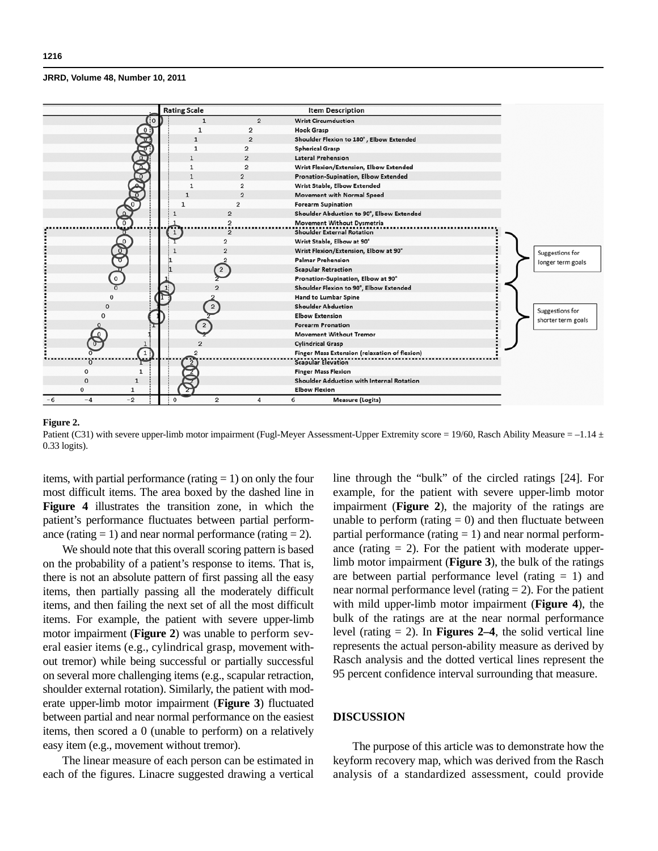

#### **Figure 2.**

Patient (C31) with severe upper-limb motor impairment (Fugl-Meyer Assessment-Upper Extremity score = 19/60, Rasch Ability Measure =  $-1.14 \pm$ 0.33 logits).

items, with partial performance (rating  $= 1$ ) on only the four most difficult items. The area boxed by the dashed line in **Figure 4** illustrates the transition zone, in which the patient's performance fluctuates between partial performance (rating  $= 1$ ) and near normal performance (rating  $= 2$ ).

We should note that this overall scoring pattern is based on the probability of a patient's response to items. That is, there is not an absolute pattern of first passing all the easy items, then partially passing all the moderately difficult items, and then failing the next set of all the most difficult items. For example, the patient with severe upper-limb motor impairment (**Figure 2**) was unable to perform several easier items (e.g., cylindrical grasp, movement without tremor) while being successful or partially successful on several more challenging items (e.g., scapular retraction, shoulder external rotation). Similarly, the patient with moderate upper-limb motor impairment (**Figure 3**) fluctuated between partial and near normal performance on the easiest items, then scored a 0 (unable to perform) on a relatively easy item (e.g., movement without tremor).

The linear measure of each person can be estimated in each of the figures. Linacre suggested drawing a vertical line through the "bulk" of the circled ratings [24]. For example, for the patient with severe upper-limb motor impairment (**Figure 2**), the majority of the ratings are unable to perform (rating  $= 0$ ) and then fluctuate between partial performance (rating  $= 1$ ) and near normal performance (rating  $= 2$ ). For the patient with moderate upperlimb motor impairment (**Figure 3**), the bulk of the ratings are between partial performance level (rating  $= 1$ ) and near normal performance level (rating  $= 2$ ). For the patient with mild upper-limb motor impairment (**Figure 4**), the bulk of the ratings are at the near normal performance level (rating = 2). In **Figures 2–4**, the solid vertical line represents the actual person-ability measure as derived by Rasch analysis and the dotted vertical lines represent the 95 percent confidence interval surrounding that measure.

#### **DISCUSSION**

The purpose of this article was to demonstrate how the keyform recovery map, which was derived from the Rasch analysis of a standardized assessment, could provide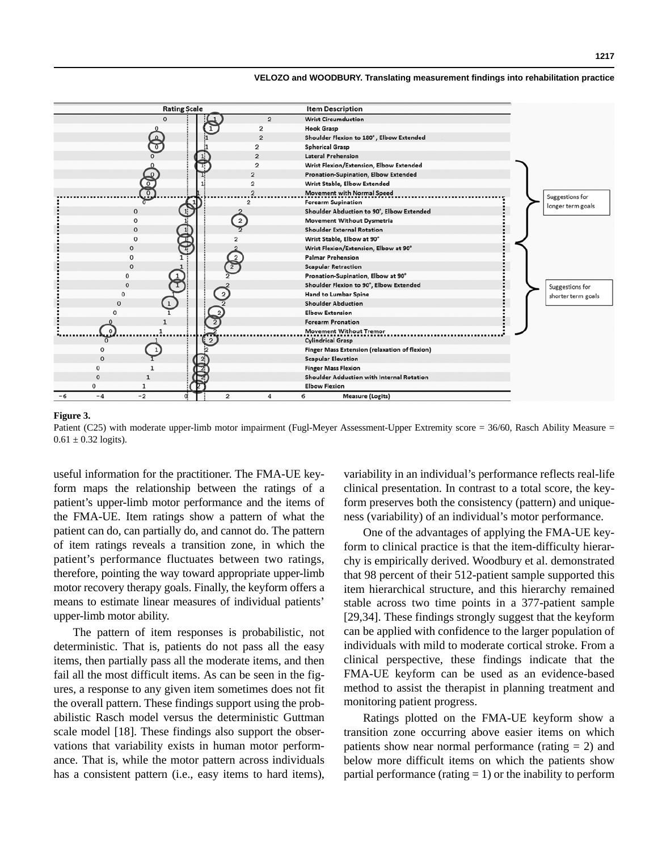#### **VELOZO and WOODBURY. Translating measurement findings into rehabilitation practice**



#### **Figure 3.**

Patient (C25) with moderate upper-limb motor impairment (Fugl-Meyer Assessment-Upper Extremity score = 36/60, Rasch Ability Measure =  $0.61 \pm 0.32$  logits).

useful information for the practitioner. The FMA-UE keyform maps the relationship between the ratings of a patient's upper-limb motor performance and the items of the FMA-UE. Item ratings show a pattern of what the patient can do, can partially do, and cannot do. The pattern of item ratings reveals a transition zone, in which the patient's performance fluctuates between two ratings, therefore, pointing the way toward appropriate upper-limb motor recovery therapy goals. Finally, the keyform offers a means to estimate linear measures of individual patients' upper-limb motor ability.

The pattern of item responses is probabilistic, not deterministic. That is, patients do not pass all the easy items, then partially pass all the moderate items, and then fail all the most difficult items. As can be seen in the figures, a response to any given item sometimes does not fit the overall pattern. These findings support using the probabilistic Rasch model versus the deterministic Guttman scale model [18]. These findings also support the observations that variability exists in human motor performance. That is, while the motor pattern across individuals has a consistent pattern (i.e., easy items to hard items),

variability in an individual's performance reflects real-life clinical presentation. In contrast to a total score, the keyform preserves both the consistency (pattern) and uniqueness (variability) of an individual's motor performance.

One of the advantages of applying the FMA-UE keyform to clinical practice is that the item-difficulty hierarchy is empirically derived. Woodbury et al. demonstrated that 98 percent of their 512-patient sample supported this item hierarchical structure, and this hierarchy remained stable across two time points in a 377-patient sample [29,34]. These findings strongly suggest that the keyform can be applied with confidence to the larger population of individuals with mild to moderate cortical stroke. From a clinical perspective, these findings indicate that the FMA-UE keyform can be used as an evidence-based method to assist the therapist in planning treatment and monitoring patient progress.

Ratings plotted on the FMA-UE keyform show a transition zone occurring above easier items on which patients show near normal performance (rating  $= 2$ ) and below more difficult items on which the patients show partial performance (rating  $= 1$ ) or the inability to perform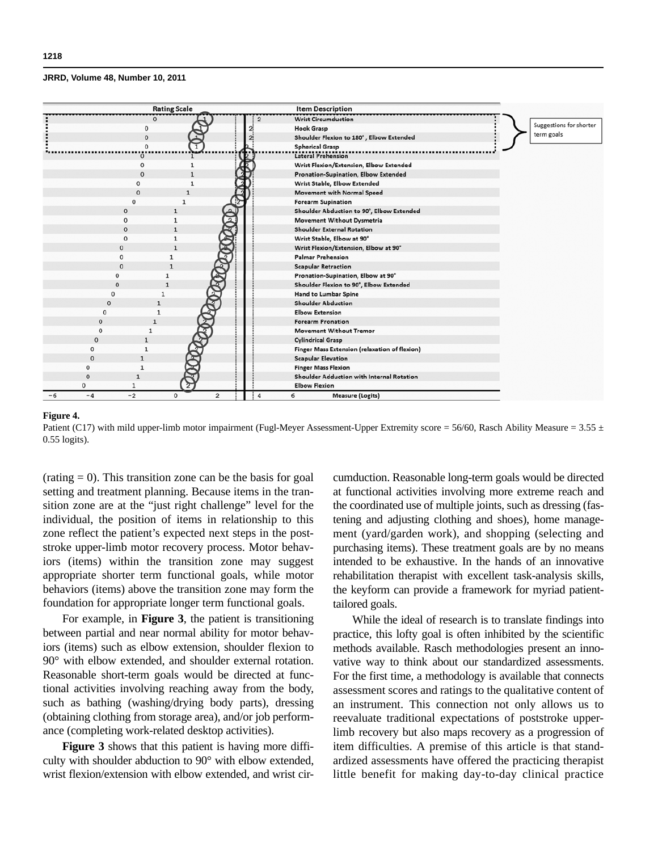

#### **Figure 4.**

Patient (C17) with mild upper-limb motor impairment (Fugl-Meyer Assessment-Upper Extremity score = 56/60, Rasch Ability Measure =  $3.55 \pm$ 0.55 logits).

 $(rating = 0)$ . This transition zone can be the basis for goal setting and treatment planning. Because items in the transition zone are at the "just right challenge" level for the individual, the position of items in relationship to this zone reflect the patient's expected next steps in the poststroke upper-limb motor recovery process. Motor behaviors (items) within the transition zone may suggest appropriate shorter term functional goals, while motor behaviors (items) above the transition zone may form the foundation for appropriate longer term functional goals.

For example, in **Figure 3**, the patient is transitioning between partial and near normal ability for motor behaviors (items) such as elbow extension, shoulder flexion to 90° with elbow extended, and shoulder external rotation. Reasonable short-term goals would be directed at functional activities involving reaching away from the body, such as bathing (washing/drying body parts), dressing (obtaining clothing from storage area), and/or job performance (completing work-related desktop activities).

**Figure 3** shows that this patient is having more difficulty with shoulder abduction to 90° with elbow extended, wrist flexion/extension with elbow extended, and wrist circumduction. Reasonable long-term goals would be directed at functional activities involving more extreme reach and the coordinated use of multiple joints, such as dressing (fastening and adjusting clothing and shoes), home management (yard/garden work), and shopping (selecting and purchasing items). These treatment goals are by no means intended to be exhaustive. In the hands of an innovative rehabilitation therapist with excellent task-analysis skills, the keyform can provide a framework for myriad patienttailored goals.

While the ideal of research is to translate findings into practice, this lofty goal is often inhibited by the scientific methods available. Rasch methodologies present an innovative way to think about our standardized assessments. For the first time, a methodology is available that connects assessment scores and ratings to the qualitative content of an instrument. This connection not only allows us to reevaluate traditional expectations of poststroke upperlimb recovery but also maps recovery as a progression of item difficulties. A premise of this article is that standardized assessments have offered the practicing therapist little benefit for making day-to-day clinical practice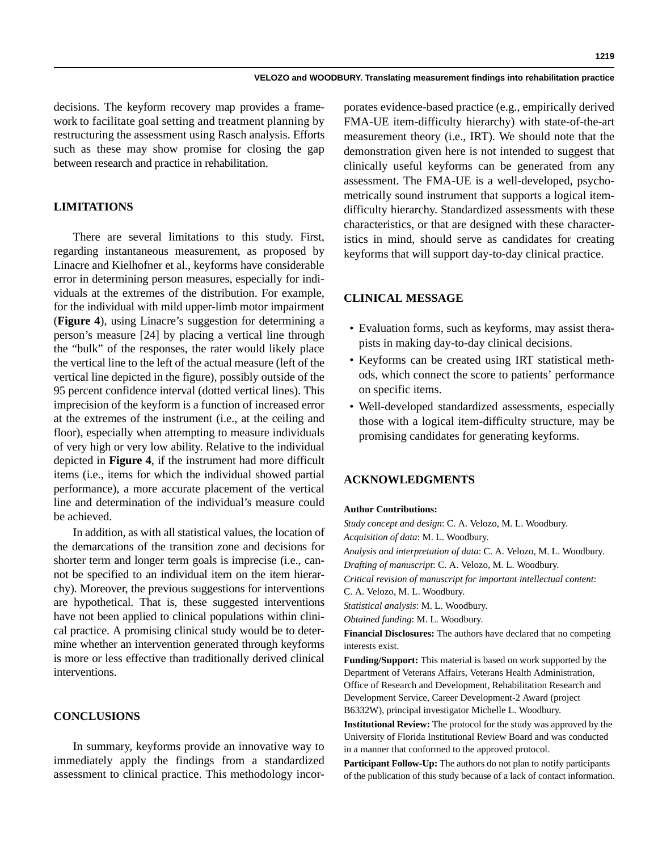decisions. The keyform recovery map provides a framework to facilitate goal setting and treatment planning by restructuring the assessment using Rasch analysis. Efforts such as these may show promise for closing the gap between research and practice in rehabilitation.

### **LIMITATIONS**

There are several limitations to this study. First, regarding instantaneous measurement, as proposed by Linacre and Kielhofner et al., keyforms have considerable error in determining person measures, especially for individuals at the extremes of the distribution. For example, for the individual with mild upper-limb motor impairment (**Figure 4**), using Linacre's suggestion for determining a person's measure [24] by placing a vertical line through the "bulk" of the responses, the rater would likely place the vertical line to the left of the actual measure (left of the vertical line depicted in the figure), possibly outside of the 95 percent confidence interval (dotted vertical lines). This imprecision of the keyform is a function of increased error at the extremes of the instrument (i.e., at the ceiling and floor), especially when attempting to measure individuals of very high or very low ability. Relative to the individual depicted in **Figure 4**, if the instrument had more difficult items (i.e., items for which the individual showed partial performance), a more accurate placement of the vertical line and determination of the individual's measure could be achieved.

In addition, as with all statistical values, the location of the demarcations of the transition zone and decisions for shorter term and longer term goals is imprecise (i.e., cannot be specified to an individual item on the item hierarchy). Moreover, the previous suggestions for interventions are hypothetical. That is, these suggested interventions have not been applied to clinical populations within clinical practice. A promising clinical study would be to determine whether an intervention generated through keyforms is more or less effective than traditionally derived clinical interventions.

### **CONCLUSIONS**

In summary, keyforms provide an innovative way to immediately apply the findings from a standardized assessment to clinical practice. This methodology incor-

porates evidence-based practice (e.g., empirically derived FMA-UE item-difficulty hierarchy) with state-of-the-art measurement theory (i.e., IRT). We should note that the demonstration given here is not intended to suggest that clinically useful keyforms can be generated from any assessment. The FMA-UE is a well-developed, psychometrically sound instrument that supports a logical itemdifficulty hierarchy. Standardized assessments with these characteristics, or that are designed with these characteristics in mind, should serve as candidates for creating keyforms that will support day-to-day clinical practice.

### **CLINICAL MESSAGE**

- Evaluation forms, such as keyforms, may assist therapists in making day-to-day clinical decisions.
- Keyforms can be created using IRT statistical methods, which connect the score to patients' performance on specific items.
- Well-developed standardized assessments, especially those with a logical item-difficulty structure, may be promising candidates for generating keyforms.

### **ACKNOWLEDGMENTS**

### **Author Contributions:**

*Study concept and design*: C. A. Velozo, M. L. Woodbury. *Acquisition of data*: M. L. Woodbury. *Analysis and interpretation of data*: C. A. Velozo, M. L. Woodbury. *Drafting of manuscript*: C. A. Velozo, M. L. Woodbury. *Critical revision of manuscript for important intellectual content*: C. A. Velozo, M. L. Woodbury.

*Statistical analysis*: M. L. Woodbury.

*Obtained funding*: M. L. Woodbury.

**Financial Disclosures:** The authors have declared that no competing interests exist.

**Funding/Support:** This material is based on work supported by the Department of Veterans Affairs, Veterans Health Administration, Office of Research and Development, Rehabilitation Research and Development Service, Career Development-2 Award (project B6332W), principal investigator Michelle L. Woodbury.

**Institutional Review:** The protocol for the study was approved by the University of Florida Institutional Review Board and was conducted in a manner that conformed to the approved protocol.

Participant Follow-Up: The authors do not plan to notify participants of the publication of this study because of a lack of contact information.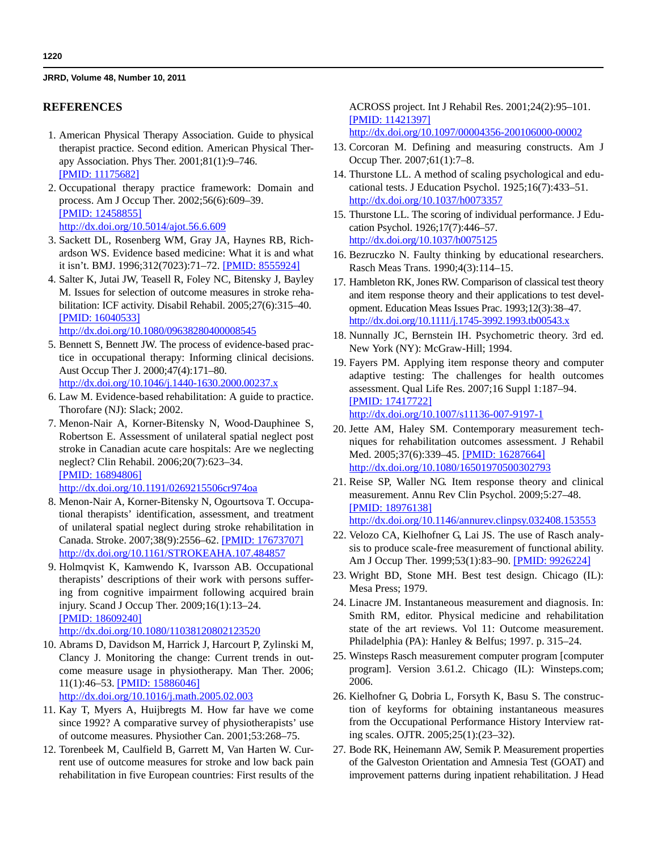### **REFERENCES**

- 1. American Physical Therapy Association. Guide to physical therapist practice. Second edition. American Physical Therapy Association. Phys Ther. 2001;81(1):9–746. [\[PMID: 11175682\]](http://www.ncbi.nlm.nih.gov/pubmed/11175682)
- 2. Occupational therapy practice framework: Domain and process. Am J Occup Ther. 2002;56(6):609–39. [\[PMID: 12458855\]](http://www.ncbi.nlm.nih.gov/pubmed/12458855) <http://dx.doi.org/10.5014/ajot.56.6.609>
- 3. Sackett DL, Rosenberg WM, Gray JA, Haynes RB, Richardson WS. Evidence based medicine: What it is and what it isn't. BMJ. 1996;312(7023):71-72. [\[PMID: 8555924\]](http://www.ncbi.nlm.nih.gov/pubmed/8555924)
- 4. Salter K, Jutai JW, Teasell R, Foley NC, Bitensky J, Bayley M. Issues for selection of outcome measures in stroke rehabilitation: ICF activity. Disabil Rehabil. 2005;27(6):315–40. [\[PMID: 16040533\]](http://www.ncbi.nlm.nih.gov/pubmed/16040533)

<http://dx.doi.org/10.1080/09638280400008545>

- 5. Bennett S, Bennett JW. The process of evidence-based practice in occupational therapy: Informing clinical decisions. Aust Occup Ther J. 2000;47(4):171–80. <http://dx.doi.org/10.1046/j.1440-1630.2000.00237.x>
- 6. Law M. Evidence-based rehabilitation: A guide to practice. Thorofare (NJ): Slack; 2002.
- 7. Menon-Nair A, Korner-Bitensky N, Wood-Dauphinee S, Robertson E. Assessment of unilateral spatial neglect post stroke in Canadian acute care hospitals: Are we neglecting neglect? Clin Rehabil. 2006;20(7):623–34. [\[PMID: 16894806\]](http://www.ncbi.nlm.nih.gov/pubmed/16894806)

<http://dx.doi.org/10.1191/0269215506cr974oa>

- 8. Menon-Nair A, Korner-Bitensky N, Ogourtsova T. Occupational therapists' identification, assessment, and treatment of unilateral spatial neglect during stroke rehabilitation in Canada. Stroke. 2007;38(9):2556–62. [\[PMID: 17673707\]](http://www.ncbi.nlm.nih.gov/pubmed/17673707) <http://dx.doi.org/10.1161/STROKEAHA.107.484857>
- 9. Holmqvist K, Kamwendo K, Ivarsson AB. Occupational therapists' descriptions of their work with persons suffering from cognitive impairment following acquired brain injury. Scand J Occup Ther. 2009;16(1):13–24. [\[PMID: 18609240\]](http://www.ncbi.nlm.nih.gov/pubmed/18609240)

<http://dx.doi.org/10.1080/11038120802123520>

10. Abrams D, Davidson M, Harrick J, Harcourt P, Zylinski M, Clancy J. Monitoring the change: Current trends in outcome measure usage in physiotherapy. Man Ther. 2006; 11(1):46–53. [\[PMID: 15886046\]](http://www.ncbi.nlm.nih.gov/pubmed/15886046) <http://dx.doi.org/10.1016/j.math.2005.02.003>

11. Kay T, Myers A, Huijbregts M. How far have we come since 1992? A comparative survey of physiotherapists' use of outcome measures. Physiother Can. 2001;53:268–75.

12. Torenbeek M, Caulfield B, Garrett M, Van Harten W. Current use of outcome measures for stroke and low back pain rehabilitation in five European countries: First results of the ACROSS project. Int J Rehabil Res. 2001;24(2):95–101. [\[PMID: 11421397\]](http://www.ncbi.nlm.nih.gov/pubmed/11421397) <http://dx.doi.org/10.1097/00004356-200106000-00002>

- 13. Corcoran M. Defining and measuring constructs. Am J Occup Ther. 2007;61(1):7–8.
- 14. Thurstone LL. A method of scaling psychological and educational tests. J Education Psychol. 1925;16(7):433–51. <http://dx.doi.org/10.1037/h0073357>
- 15. Thurstone LL. The scoring of individual performance. J Education Psychol. 1926;17(7):446–57. <http://dx.doi.org/10.1037/h0075125>
- 16. Bezruczko N. Faulty thinking by educational researchers. Rasch Meas Trans. 1990;4(3):114–15.
- 17. Hambleton RK, Jones RW. Comparison of classical test theory and item response theory and their applications to test development. Education Meas Issues Prac. 1993;12(3):38–47. <http://dx.doi.org/10.1111/j.1745-3992.1993.tb00543.x>
- 18. Nunnally JC, Bernstein IH. Psychometric theory. 3rd ed. New York (NY): McGraw-Hill; 1994.
- 19. Fayers PM. Applying item response theory and computer adaptive testing: The challenges for health outcomes assessment. Qual Life Res. 2007;16 Suppl 1:187–94. [\[PMID: 17417722\]](http://www.ncbi.nlm.nih.gov/pubmed/17417722) <http://dx.doi.org/10.1007/s11136-007-9197-1>
- 20. Jette AM, Haley SM. Contemporary measurement techniques for rehabilitation outcomes assessment. J Rehabil Med. 2005;37(6):339–45. [\[PMID: 16287664\]](http://www.ncbi.nlm.nih.gov/pubmed/16287664) <http://dx.doi.org/10.1080/16501970500302793>
- 21. Reise SP, Waller NG. Item response theory and clinical measurement. Annu Rev Clin Psychol. 2009;5:27–48. [\[PMID: 18976138\]](http://www.ncbi.nlm.nih.gov/pubmed/18976138) <http://dx.doi.org/10.1146/annurev.clinpsy.032408.153553>
- 22. Velozo CA, Kielhofner G, Lai JS. The use of Rasch analysis to produce scale-free measurement of functional ability. Am J Occup Ther. 1999;53(1):83–90. [\[PMID: 9926224\]](http://www.ncbi.nlm.nih.gov/pubmed/9926224)
- 23. Wright BD, Stone MH. Best test design. Chicago (IL): Mesa Press; 1979.
- 24. Linacre JM. Instantaneous measurement and diagnosis. In: Smith RM, editor. Physical medicine and rehabilitation state of the art reviews. Vol 11: Outcome measurement. Philadelphia (PA): Hanley & Belfus; 1997. p. 315–24.
- 25. Winsteps Rasch measurement computer program [computer program]. Version 3.61.2. Chicago (IL): Winsteps.com; 2006.
- 26. Kielhofner G, Dobria L, Forsyth K, Basu S. The construction of keyforms for obtaining instantaneous measures from the Occupational Performance History Interview rating scales. OJTR. 2005;25(1):(23–32).
- 27. Bode RK, Heinemann AW, Semik P. Measurement properties of the Galveston Orientation and Amnesia Test (GOAT) and improvement patterns during inpatient rehabilitation. J Head